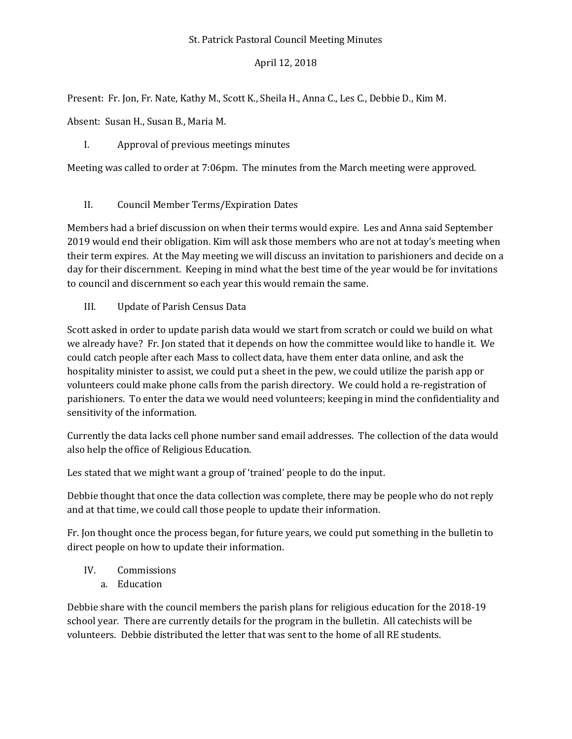#### St. Patrick Pastoral Council Meeting Minutes

## April 12, 2018

Present: Fr. Jon, Fr. Nate, Kathy M., Scott K., Sheila H., Anna C., Les C., Debbie D., Kim M.

Absent: Susan H., Susan B., Maria M.

# I. Approval of previous meetings minutes

Meeting was called to order at 7:06pm. The minutes from the March meeting were approved.

II. Council Member Terms/Expiration Dates

Members had a brief discussion on when their terms would expire. Les and Anna said September 2019 would end their obligation. Kim will ask those members who are not at today's meeting when their term expires. At the May meeting we will discuss an invitation to parishioners and decide on a day for their discernment. Keeping in mind what the best time of the year would be for invitations to council and discernment so each year this would remain the same.

III. Update of Parish Census Data

Scott asked in order to update parish data would we start from scratch or could we build on what we already have? Fr. Jon stated that it depends on how the committee would like to handle it. We could catch people after each Mass to collect data, have them enter data online, and ask the hospitality minister to assist, we could put a sheet in the pew, we could utilize the parish app or volunteers could make phone calls from the parish directory. We could hold a re-registration of parishioners. To enter the data we would need volunteers; keeping in mind the confidentiality and sensitivity of the information.

Currently the data lacks cell phone number sand email addresses. The collection of the data would also help the office of Religious Education.

Les stated that we might want a group of 'trained' people to do the input.

Debbie thought that once the data collection was complete, there may be people who do not reply and at that time, we could call those people to update their information.

Fr. Jon thought once the process began, for future years, we could put something in the bulletin to direct people on how to update their information.

IV. Commissions

a. Education

Debbie share with the council members the parish plans for religious education for the 2018-19 school year. There are currently details for the program in the bulletin. All catechists will be volunteers. Debbie distributed the letter that was sent to the home of all RE students.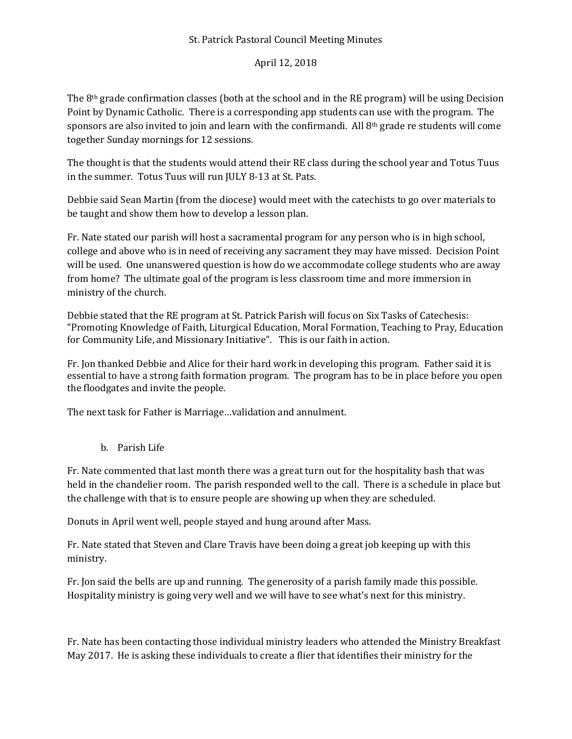#### St. Patrick Pastoral Council Meeting Minutes

## April 12, 2018

The  $8<sup>th</sup>$  grade confirmation classes (both at the school and in the RE program) will be using Decision Point by Dynamic Catholic. There is a corresponding app students can use with the program. The sponsors are also invited to join and learn with the confirmandi. All  $8<sup>th</sup>$  grade re students will come together Sunday mornings for 12 sessions.

The thought is that the students would attend their RE class during the school year and Totus Tuus in the summer. Totus Tuus will run JULY 8-13 at St. Pats.

Debbie said Sean Martin (from the diocese) would meet with the catechists to go over materials to be taught and show them how to develop a lesson plan.

Fr. Nate stated our parish will host a sacramental program for any person who is in high school, college and above who is in need of receiving any sacrament they may have missed. Decision Point will be used. One unanswered question is how do we accommodate college students who are away from home? The ultimate goal of the program is less classroom time and more immersion in ministry of the church.

Debbie stated that the RE program at St. Patrick Parish will focus on Six Tasks of Catechesis: "Promoting Knowledge of Faith, Liturgical Education, Moral Formation, Teaching to Pray, Education for Community Life, and Missionary Initiative". This is our faith in action.

Fr. Jon thanked Debbie and Alice for their hard work in developing this program. Father said it is essential to have a strong faith formation program. The program has to be in place before you open the floodgates and invite the people.

The next task for Father is Marriage…validation and annulment.

b. Parish Life

Fr. Nate commented that last month there was a great turn out for the hospitality bash that was held in the chandelier room. The parish responded well to the call. There is a schedule in place but the challenge with that is to ensure people are showing up when they are scheduled.

Donuts in April went well, people stayed and hung around after Mass.

Fr. Nate stated that Steven and Clare Travis have been doing a great job keeping up with this ministry.

Fr. Jon said the bells are up and running. The generosity of a parish family made this possible. Hospitality ministry is going very well and we will have to see what's next for this ministry.

Fr. Nate has been contacting those individual ministry leaders who attended the Ministry Breakfast May 2017. He is asking these individuals to create a flier that identifies their ministry for the